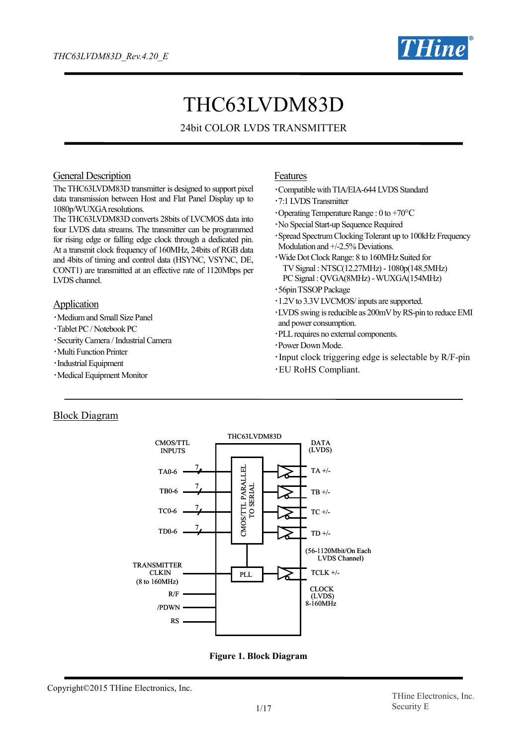

# THC63LVDM83D

## 24bit COLOR LVDS TRANSMITTER

#### General Description

The THC63LVDM83D transmitter is designed to support pixel data transmission between Host and Flat Panel Display up to 1080p/WUXGAresolutions.

The THC63LVDM83D converts 28bits of LVCMOS data into four LVDS data streams. The transmitter can be programmed for rising edge or falling edge clock through a dedicated pin. At a transmit clock frequency of 160MHz, 24bits of RGB data and 4bits of timing and control data (HSYNC, VSYNC, DE, CONT1) are transmitted at an effective rate of 1120Mbps per LVDS channel.

#### **Application**

- ・Medium and Small Size Panel
- ・Tablet PC / Notebook PC
- ・Security Camera / Industrial Camera
- ・Multi Function Printer
- ・Industrial Equipment
- ・Medical Equipment Monitor

#### Features

- ・Compatible with TIA/EIA-644 LVDS Standard
- ・7:1 LVDS Transmitter
- $\cdot$ Operating Temperature Range : 0 to +70 $\rm{^{\circ}C}$
- ・No Special Start-up Sequence Required
- ・Spread Spectrum Clocking Tolerant up to 100kHz Frequency Modulation and  $+/2.5%$  Deviations.
- ・Wide Dot Clock Range: 8 to 160MHz Suited for TV Signal : NTSC(12.27MHz) - 1080p(148.5MHz) PC Signal : OVGA(8MHz) - WUXGA(154MHz)
- ・56pinTSSOPPackage
- ・1.2V to 3.3V LVCMOS/ inputs are supported.
- ・LVDS swing is reducible as 200mV by RS-pin to reduce EMI and power consumption.
- ・PLLrequires no external components.
- ・Power Down Mode.
- ・Input clock triggering edge is selectable by R/F-pin
- ・EU RoHS Compliant.

#### Block Diagram



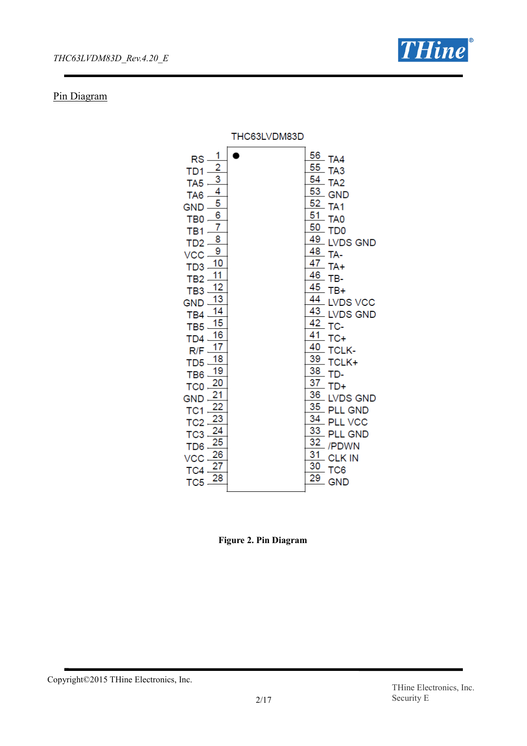

## Pin Diagram

|                                                                                                                                                                                                                                                                                                                                                                                                                                                                                                                                                                                                                                                 | THC63LVDM83D |                                                                                                                                                                                                                                                                                                                                                                                                                                                                                                                                                                                                      |
|-------------------------------------------------------------------------------------------------------------------------------------------------------------------------------------------------------------------------------------------------------------------------------------------------------------------------------------------------------------------------------------------------------------------------------------------------------------------------------------------------------------------------------------------------------------------------------------------------------------------------------------------------|--------------|------------------------------------------------------------------------------------------------------------------------------------------------------------------------------------------------------------------------------------------------------------------------------------------------------------------------------------------------------------------------------------------------------------------------------------------------------------------------------------------------------------------------------------------------------------------------------------------------------|
| 1<br><b>RS</b><br>$\frac{2}{3}$<br>TD1<br>TA <sub>5</sub><br>$\frac{4}{5}$<br>TA <sub>6</sub><br><b>GND</b><br>$\overline{6}$<br>TB <sub>0</sub><br>7<br>TB <sub>1</sub><br>8<br>T <sub>D</sub> 2<br>$\overline{9}$<br>VCC<br>10<br>TD <sub>3</sub><br>11<br>TB <sub>2</sub><br>12<br>TB <sub>3</sub><br>13<br><b>GND</b><br>14<br>TB4<br>15<br>TB <sub>5</sub><br>16<br>TD <sub>4</sub><br>17<br>R/F<br>18<br>T <sub>D5</sub><br>19<br>TB <sub>6</sub><br>20<br>TC <sub>0</sub><br>21<br><b>GND</b><br>TC <sub>1</sub><br>23<br>TC <sub>2</sub><br>TC <sub>3</sub><br>25<br>TD <sub>6</sub><br>26<br>VCC<br>27<br>TC4<br>28<br>TC <sub>5</sub> |              | 56<br>TA4<br>55<br>TA <sub>3</sub><br>54<br>TA <sub>2</sub><br>$\frac{53}{ }$ GND<br>52<br>TA <sub>1</sub><br>51<br>TA <sub>0</sub><br>50<br>TD <sub>0</sub><br>49<br><b>LVDS GND</b><br>48<br>TA-<br>$\frac{47}{4}$ TA+<br>46<br>TB-<br>45<br>TB+<br>44<br><b>LVDS VCC</b><br>$\frac{43}{1}$ LVDS GND<br>42<br>TC-<br>41<br>$TC+$<br>40<br><b>TCLK-</b><br>39<br>TCLK+<br>38<br>TD-<br>37<br>$TD+$<br>36<br><b>LVDS GND</b><br>35<br><b>PLL GND</b><br>34<br><b>PLL VCC</b><br>33<br><b>PLL GND</b><br>$\overline{32}$<br>/PDWN<br>31<br><b>CLK IN</b><br>30<br>TC <sub>6</sub><br>29<br><b>GND</b> |

**Figure 2. Pin Diagram**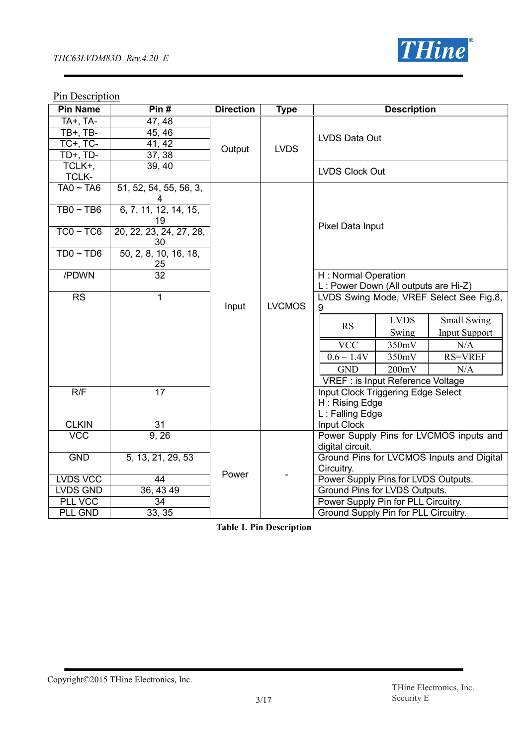

## **Pin Description**

| <b>Pin Name</b>            | Pin#                          | <b>Direction</b> | <b>Type</b>   | <b>Description</b>                                          |  |
|----------------------------|-------------------------------|------------------|---------------|-------------------------------------------------------------|--|
| TA+, TA-<br>TB+, TB-       | 47, 48<br>45, 46              |                  |               | LVDS Data Out                                               |  |
| $TC+$ , $TC-$              | 41, 42                        | Output           | <b>LVDS</b>   |                                                             |  |
| $TD+$ , $TD-$              | 37, 38                        |                  |               |                                                             |  |
| TCLK+,                     | 39, 40                        |                  |               | <b>LVDS Clock Out</b>                                       |  |
| <b>TCLK-</b>               |                               |                  |               |                                                             |  |
| $TAO \sim TAO$             | 51, 52, 54, 55, 56, 3,        |                  |               |                                                             |  |
| $TB0 \sim TB6$             | 6, 7, 11, 12, 14, 15,<br>19   |                  |               |                                                             |  |
| $TC0 \sim TC6$             | 20, 22, 23, 24, 27, 28,<br>30 |                  |               | Pixel Data Input                                            |  |
| $TD0 \sim TD6$             | 50, 2, 8, 10, 16, 18,         |                  |               |                                                             |  |
| /PDWN                      | $\frac{25}{32}$               |                  |               | H: Normal Operation<br>L: Power Down (All outputs are Hi-Z) |  |
| <b>RS</b>                  | 1                             | Input            | <b>LVCMOS</b> | LVDS Swing Mode, VREF Select See Fig.8,<br>9                |  |
|                            |                               |                  |               | <b>LVDS</b><br>Small Swing<br><b>RS</b>                     |  |
|                            |                               |                  |               | Swing<br><b>Input Support</b>                               |  |
|                            |                               |                  |               | <b>VCC</b><br>350mV<br>N/A                                  |  |
|                            |                               |                  |               | $0.6 \sim 1.4V$<br>350mV<br><b>RS=VREF</b>                  |  |
|                            |                               |                  |               | <b>GND</b><br>200mV<br>N/A                                  |  |
|                            |                               |                  |               | VREF : is Input Reference Voltage                           |  |
| R/F                        | $\overline{17}$               |                  |               | Input Clock Triggering Edge Select                          |  |
|                            |                               |                  |               | H: Rising Edge                                              |  |
|                            |                               |                  |               | L: Falling Edge                                             |  |
| <b>CLKIN</b><br><b>VCC</b> | 31                            |                  |               | Input Clock                                                 |  |
|                            | $\overline{9}$ , 26           |                  |               | Power Supply Pins for LVCMOS inputs and<br>digital circuit. |  |
| <b>GND</b>                 | 5, 13, 21, 29, 53             |                  |               | Ground Pins for LVCMOS Inputs and Digital                   |  |
|                            |                               | Power            |               | Circuitry.                                                  |  |
| <b>LVDS VCC</b>            | 44                            |                  |               | Power Supply Pins for LVDS Outputs.                         |  |
| LVDS GND                   | 36, 43 49                     |                  |               | Ground Pins for LVDS Outputs.                               |  |
| <b>PLL VCC</b>             | $\overline{34}$               |                  |               | Power Supply Pin for PLL Circuitry.                         |  |
| <b>PLL GND</b>             | 33, 35                        |                  |               | Ground Supply Pin for PLL Circuitry.                        |  |

**Table 1. Pin Description**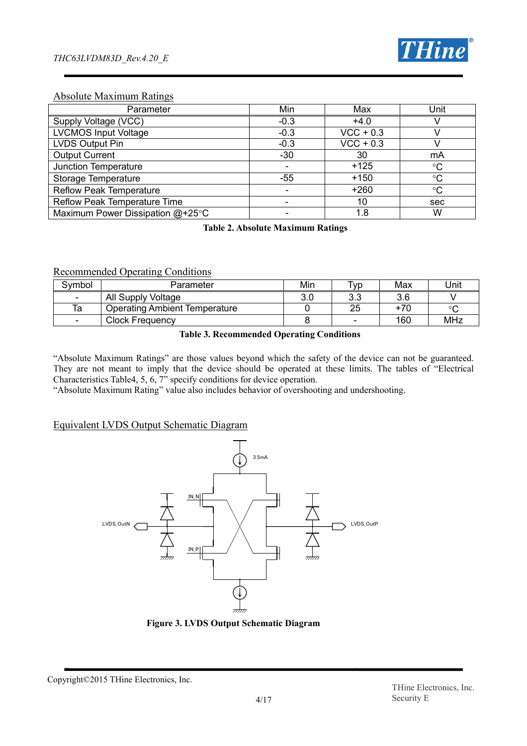

## Absolute Maximum Ratings

| Parameter                        | Min    | Max                    | Unit            |
|----------------------------------|--------|------------------------|-----------------|
| Supply Voltage (VCC)             | $-0.3$ | $+4.0$                 |                 |
| <b>LVCMOS Input Voltage</b>      | $-0.3$ | $VCC + 0.3$            |                 |
| LVDS Output Pin                  | $-0.3$ | $\overline{VCC + 0.3}$ |                 |
| <b>Output Current</b>            | $-30$  | 30                     | mA              |
| Junction Temperature             |        | $+125$                 | $\rm ^{\circ}C$ |
| Storage Temperature              | -55    | $+150$                 | $\rm ^{\circ}C$ |
| <b>Reflow Peak Temperature</b>   |        | $+260$                 | $\rm ^{\circ}C$ |
| Reflow Peak Temperature Time     | -      | 10                     | sec             |
| Maximum Power Dissipation @+25°C |        | 1.8                    | W               |

**Table 2. Absolute Maximum Ratings**

#### Recommended Operating Conditions

| Svmbol                   | Parameter                            | Min        | <b>VD</b>  | Max   | Unit    |
|--------------------------|--------------------------------------|------------|------------|-------|---------|
| -                        | All Supply Voltage                   | ח ג<br>∪.∪ | າ າ<br>v.v | 3.6   |         |
| Та                       | <b>Operating Ambient Temperature</b> |            | ΩE<br>نک   | $+70$ | $\circ$ |
| $\overline{\phantom{0}}$ | <b>Clock Frequency</b>               |            |            | 160   | MHz     |

#### **Table 3. Recommended Operating Conditions**

"Absolute Maximum Ratings" are those values beyond which the safety of the device can not be guaranteed. They are not meant to imply that the device should be operated at these limits. The tables of "Electrical Characteristics Table4, 5, 6, 7" specify conditions for device operation.

"Absolute Maximum Rating" value also includes behavior of overshooting and undershooting.

#### Equivalent LVDS Output Schematic Diagram



**Figure 3. LVDS Output Schematic Diagram**

Copyright©2015 THine Electronics, Inc.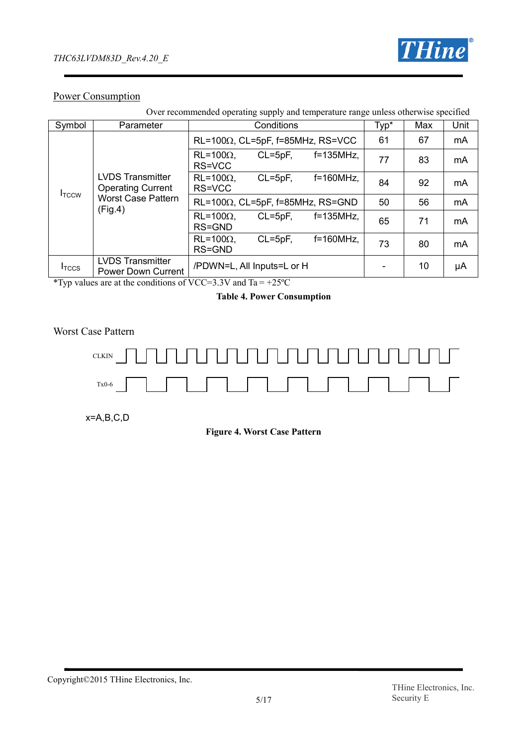

## Power Consumption

| Over recommended operating supply and temperature range unless otherwise specified                    |                                                      |                                          |                                          |              |      |     |      |
|-------------------------------------------------------------------------------------------------------|------------------------------------------------------|------------------------------------------|------------------------------------------|--------------|------|-----|------|
| Symbol                                                                                                | Parameter                                            |                                          | Conditions                               |              | Typ* | Max | Unit |
|                                                                                                       |                                                      |                                          | $RL=100\Omega$ , CL=5pF, f=85MHz, RS=VCC |              |      | 67  | mA   |
|                                                                                                       |                                                      | $RL=100\Omega$ .<br>RS=VCC               | $CL = 5pF$ ,                             | $f=135$ MHz, | 77   | 83  | mA   |
| <b>LVDS Transmitter</b><br><b>Operating Current</b><br>I <sub>TCCW</sub><br><b>Worst Case Pattern</b> | $RL=100\Omega$ .<br>RS=VCC                           | $CL = 5pF$ ,                             | $f=160MHz$ ,                             | 84           | 92   | mA  |      |
|                                                                                                       | (Fig.4)                                              | $RL=100\Omega$ , CL=5pF, f=85MHz, RS=GND |                                          |              | 50   | 56  | mA   |
|                                                                                                       |                                                      | $RL=100\Omega$ .<br>RS=GND               | $CL = 5pF,$                              | $f=135$ MHz, | 65   | 71  | mA   |
|                                                                                                       |                                                      | $RL = 100\Omega$ .<br>RS=GND             | $CL = 5pF$ ,                             | $f=160MHz$ , | 73   | 80  | mA   |
| I <sub>TCCS</sub>                                                                                     | <b>LVDS Transmitter</b><br><b>Power Down Current</b> | /PDWN=L, All Inputs=L or H               |                                          |              |      | 10  | μA   |

\*Typ values are at the conditions of VCC=3.3V and Ta =  $+25^{\circ}$ C

#### **Table 4. Power Consumption**

Worst Case Pattern



x=A,B,C,D

**Figure 4. Worst Case Pattern**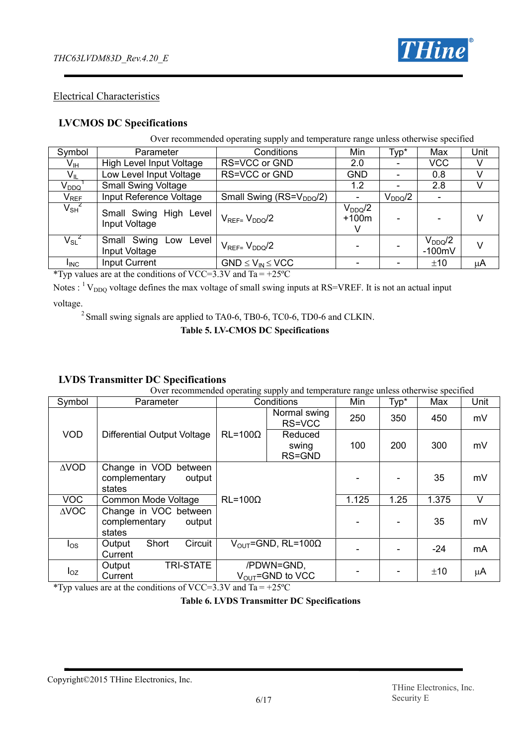

## Electrical Characteristics

## **LVCMOS DC Specifications**

Over recommended operating supply and temperature range unless otherwise specified

| Symbol                                                         | Parameter                                 | Conditions                           | Min                         | Typ*        | Max                     | Unit    |
|----------------------------------------------------------------|-------------------------------------------|--------------------------------------|-----------------------------|-------------|-------------------------|---------|
| V <sub>IH</sub>                                                | High Level Input Voltage                  | RS=VCC or GND                        | 2.0                         |             | <b>VCC</b>              |         |
| $V_{IL}$                                                       | Low Level Input Voltage                   | RS=VCC or GND                        | <b>GND</b>                  |             | 0.8                     |         |
| $\mathsf{V}_{\mathsf{DDQ}}^\top$                               | <b>Small Swing Voltage</b>                |                                      | 1.2                         |             | 2.8                     |         |
|                                                                | Input Reference Voltage                   | Small Swing (RS=V <sub>DDQ</sub> /2) |                             | $V_{DDQ}/2$ |                         |         |
| $\frac{\mathsf{V}_{\mathsf{REF}}}{\mathsf{V}_{\mathsf{SH}}^2}$ | Small Swing High Level  <br>Input Voltage | $V_{\text{RFF}=}\ V_{\text{DDQ}}/2$  | $V_{DDQ}/2$<br>$+100m$<br>V |             |                         | V       |
| $V_{\rm SL}^{-2}$                                              | Small Swing Low Level  <br>Input Voltage  | $V_{REF}=V_{DDO}/2$                  |                             |             | $V_{DDQ}/2$<br>$-100mV$ | V       |
| <b>I</b> INC                                                   | <b>Input Current</b>                      | $GND \leq V_{IN} \leq VCC$           |                             |             | ±10                     | $\mu$ A |

\*Typ values are at the conditions of VCC=3.3V and Ta =  $+25^{\circ}$ C

Notes :  $\rm^{1}V_{DDO}$  voltage defines the max voltage of small swing inputs at RS=VREF. It is not an actual input voltage.

<sup>2</sup> Small swing signals are applied to TA0-6, TB0-6, TC0-6, TD0-6 and CLKIN.

**Table 5. LV-CMOS DC Specifications**

## **LVDS Transmitter DC Specifications**

Over recommended operating supply and temperature range unless otherwise specified

| Symbol          | Parameter                                                     |                  | Conditions                                 | Min   | Typ* | Max   | Unit |
|-----------------|---------------------------------------------------------------|------------------|--------------------------------------------|-------|------|-------|------|
|                 |                                                               |                  | Normal swing<br>RS=VCC                     | 250   | 350  | 450   | mV   |
| <b>VOD</b>      | Differential Output Voltage                                   | $RL = 100\Omega$ | Reduced<br>swing<br>RS=GND                 | 100   | 200  | 300   | mV   |
| $\triangle VOD$ | Change in VOD<br>between<br>complementary<br>output<br>states |                  |                                            |       |      | 35    | mV   |
| <b>VOC</b>      | Common Mode Voltage                                           | $RL = 100\Omega$ |                                            | 1.125 | 1.25 | 1.375 | V    |
| $\triangle$ VOC | Change in VOC between<br>complementary<br>output<br>states    |                  |                                            |       |      | 35    | mV   |
| los             | Short<br>Circuit<br>Output<br>Current                         |                  | $V_{\text{OUT}}$ =GND, RL=100 $\Omega$     |       |      | $-24$ | mA   |
| $I_{OZ}$        | <b>TRI-STATE</b><br>Output<br>Current                         |                  | /PDWN=GND,<br>$V_{\text{OUT}}$ =GND to VCC |       |      | ±10   | μA   |

\*Typ values are at the conditions of VCC=3.3V and Ta =  $+25^{\circ}$ C

#### **Table 6. LVDS Transmitter DC Specifications**

Copyright©2015 THine Electronics, Inc.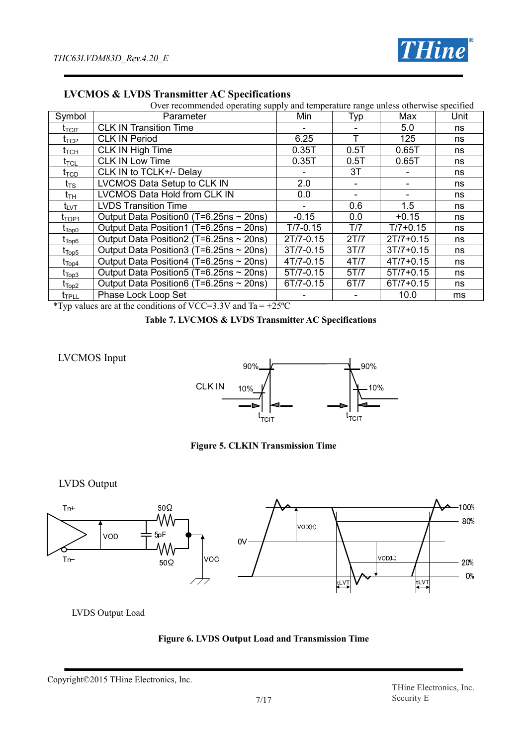

| Over recommended operating supply and temperature range unless otherwise specified |                                              |              |      |               |      |  |  |
|------------------------------------------------------------------------------------|----------------------------------------------|--------------|------|---------------|------|--|--|
| Symbol                                                                             | Parameter                                    | Min          | Typ  | Max           | Unit |  |  |
| $\mathfrak{r}_{\text{ICIT}}$                                                       | <b>CLK IN Transition Time</b>                |              |      | 5.0           | ns   |  |  |
| $t_{\mathsf{TCP}}$                                                                 | <b>CLK IN Period</b>                         | 6.25         |      | 125           | ns   |  |  |
| t <sub>тсн</sub>                                                                   | CLK IN High Time                             | 0.35T        | 0.5T | 0.65T         | ns   |  |  |
| $t_{\sf TCL}$                                                                      | <b>CLK IN Low Time</b>                       | 0.35T        | 0.5T | 0.65T         | ns   |  |  |
| t <sub>TCD</sub>                                                                   | CLK IN to TCLK+/- Delay                      |              | 3T   |               | ns   |  |  |
| $t_{\mathsf{TS}}$                                                                  | LVCMOS Data Setup to CLK IN                  | 2.0          |      |               | ns   |  |  |
| $\mathfrak{r}_{\mathsf{TH}}$                                                       | LVCMOS Data Hold from CLK IN                 | 0.0          |      |               | ns   |  |  |
| ι <sub>υντ</sub>                                                                   | <b>LVDS Transition Time</b>                  |              | 0.6  | 1.5           | ns   |  |  |
| t <sub>TOP1</sub>                                                                  | Output Data Position0 (T=6.25ns $\sim$ 20ns) | $-0.15$      | 0.0  | $+0.15$       | ns   |  |  |
| $\mathfrak{r}_{\text{Top0}}$                                                       | Output Data Position1 (T=6.25ns ~ 20ns)      | $T/7 - 0.15$ | T/7  | $T/7 + 0.15$  | ns   |  |  |
| $\rm t_{\overline{Top6}}$                                                          | Output Data Position2 (T=6.25ns $\sim$ 20ns) | 2T/7-0.15    | 2T/7 | $2T/7 + 0.15$ | ns   |  |  |
| $\mathfrak{r}_{\mathsf{Top5}}$                                                     | Output Data Position3 (T=6.25ns ~ 20ns)      | 3T/7-0.15    | 3T/7 | $3T/7 + 0.15$ | ns   |  |  |
| $\mathfrak{r}_{\mathsf{Top4}}$                                                     | Output Data Position4 (T=6.25ns ~ 20ns)      | 4T/7-0.15    | 4T/7 | $4T/7 + 0.15$ | ns   |  |  |
| $\mathfrak{r}_{\mathsf{Top3}}$                                                     | Output Data Position5 (T=6.25ns ~ 20ns)      | 5T/7-0.15    | 5T/7 | $5T/7 + 0.15$ | ns   |  |  |
| $t_{\mathsf{Top2}}$                                                                | Output Data Position6 (T=6.25ns ~ 20ns)      | 6T/7-0.15    | 6T/7 | $6T/7 + 0.15$ | ns   |  |  |
| <b>T</b> <sub>TPLL</sub>                                                           | Phase Lock Loop Set                          |              |      | 10.0          | ms   |  |  |

## **LVCMOS & LVDS Transmitter AC Specifications**

\*Typ values are at the conditions of VCC=3.3V and Ta = +25 $^{\circ}$ C

#### **Table 7. LVCMOS & LVDS Transmitter AC Specifications**

## LVCMOS Input



**Figure 5. CLKIN Transmission Time**

LVDS Output



LVDS Output Load



Copyright©2015 THine Electronics, Inc.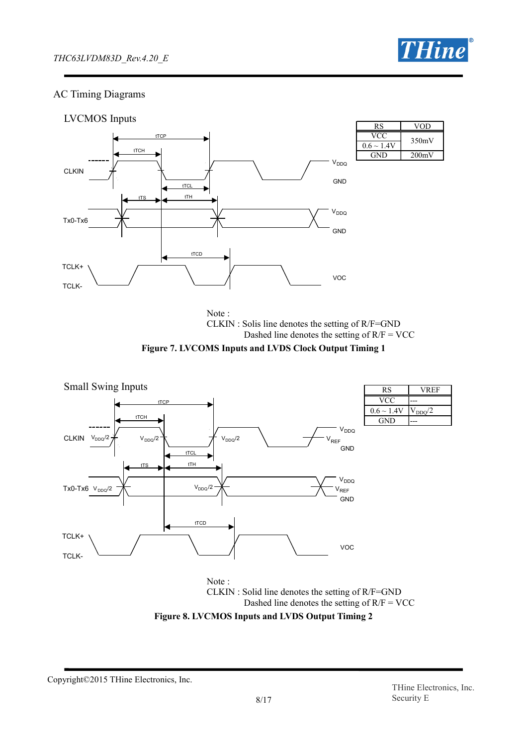

## AC Timing Diagrams



Note : CLKIN : Solis line denotes the setting of R/F=GND Dashed line denotes the setting of  $R/F = VCC$ 





Dashed line denotes the setting of  $R/F = VCC$ 



Copyright©2015 THine Electronics, Inc.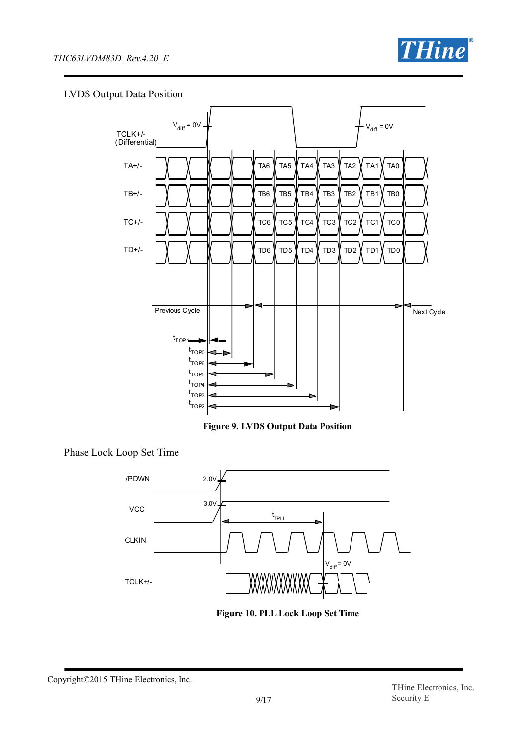

## LVDS Output Data Position



**Figure 9. LVDS Output Data Position**

Phase Lock Loop Set Time





Copyright©2015 THine Electronics, Inc.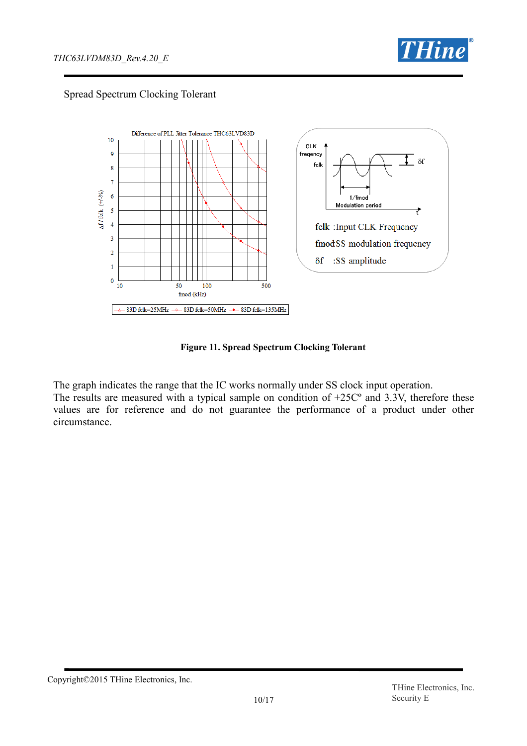

## Spread Spectrum Clocking Tolerant



**Figure 11. Spread Spectrum Clocking Tolerant**

The graph indicates the range that the IC works normally under SS clock input operation. The results are measured with a typical sample on condition of  $+25C<sup>o</sup>$  and 3.3V, therefore these values are for reference and do not guarantee the performance of a product under other circumstance.

Copyright©2015 THine Electronics, Inc.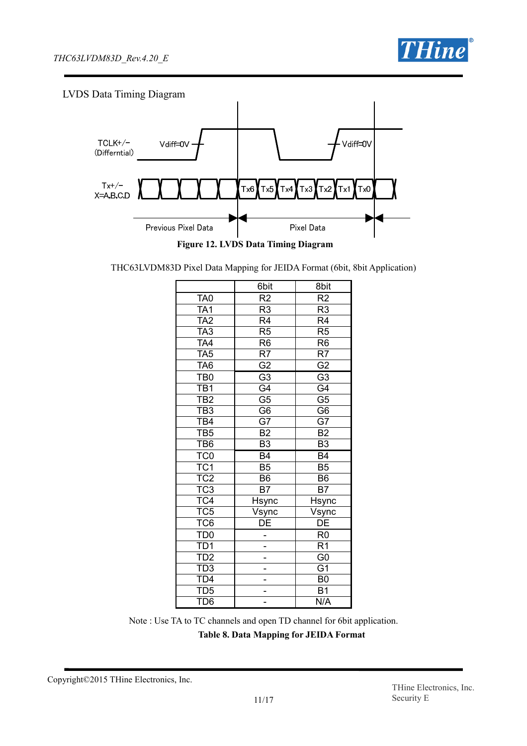

## LVDS Data Timing Diagram



THC63LVDM83D Pixel Data Mapping for JEIDA Format (6bit, 8bit Application)

|                         | 6bit                     | 8bit                     |
|-------------------------|--------------------------|--------------------------|
| TA <sub>0</sub>         | R2                       | $\overline{R2}$          |
| $\overline{TA1}$        | R <sub>3</sub>           | R <sub>3</sub>           |
| TA <sub>2</sub>         | $\overline{R4}$          | $\overline{\mathsf{R4}}$ |
| TA <sub>3</sub>         | $\overline{R5}$          | R <sub>5</sub>           |
| TA4                     | R <sub>6</sub>           | $\overline{R6}$          |
| TA <sub>5</sub>         | $\overline{\mathsf{R7}}$ | $\overline{\mathsf{R7}}$ |
| TA <sub>6</sub>         | $\overline{G2}$          | $\overline{G2}$          |
| TB <sub>0</sub>         | $\overline{G3}$          | $\overline{G3}$          |
| TB <sub>1</sub>         | $\overline{G4}$          | $\overline{G4}$          |
| $\overline{TB2}$        | $\overline{G5}$          | $\overline{G5}$          |
| TB3                     | $\overline{G6}$          | $\overline{G6}$          |
| TB4                     | $\overline{G7}$          | $\overline{G7}$          |
| TB <sub>5</sub>         | <b>B2</b>                | <b>B2</b>                |
| TB <sub>6</sub>         | $\overline{B3}$          | $\overline{B3}$          |
| TC <sub>0</sub>         | B4                       | $\overline{B4}$          |
| $\overline{\text{TC1}}$ | $\overline{B5}$          | $\overline{B5}$          |
| TC <sub>2</sub>         | B <sub>6</sub>           | B6                       |
| $\overline{\text{TC}}3$ | <b>B7</b>                | B7                       |
| TC4                     | Hsy <u>nc</u>            | Hsync                    |
| TC5<br>TC6              | <u>Vsync</u>             | Vsync<br>DE              |
|                         | $\overline{\mathsf{DE}}$ |                          |
| TD <sub>0</sub>         |                          | $\overline{R0}$          |
| <u>TD1</u>              |                          | R <sub>1</sub>           |
| $\overline{\text{TD2}}$ |                          | $\overline{G}0$          |
| TD3<br>TD4              |                          | $\overline{G}$ 1         |
|                         |                          | $\overline{B0}$          |
| TD <sub>5</sub>         |                          | $\overline{B1}$          |
| TD <sub>6</sub>         |                          | N/A                      |

Note : Use TA to TC channels and open TD channel for 6bit application. **Table 8. Data Mapping for JEIDA Format**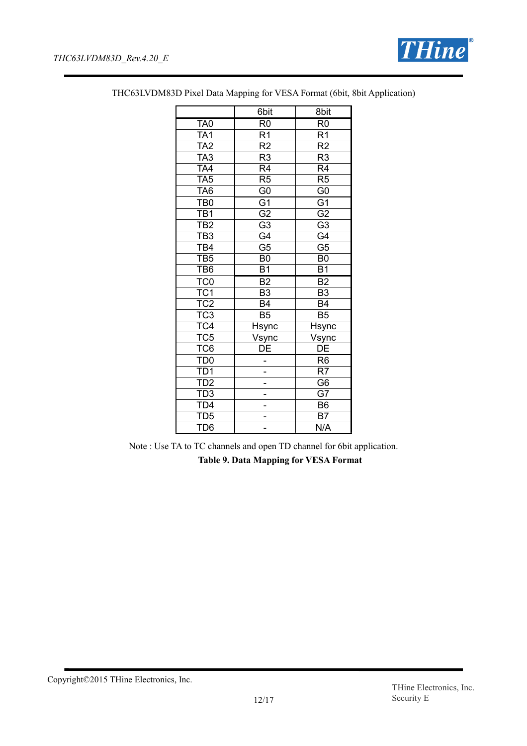

|                  | 6bit            | 8bit                       |
|------------------|-----------------|----------------------------|
| TA <sub>0</sub>  | R <sub>0</sub>  | R <sub>0</sub>             |
| TA <sub>1</sub>  | $\overline{R1}$ | $\overline{R1}$            |
| TA2              | $\overline{R2}$ | $\overline{\mathsf{R2}}$   |
| TA <sub>3</sub>  | R <sub>3</sub>  | R <sub>3</sub>             |
| $\overline{TA4}$ | $\overline{R4}$ | $\overline{R4}$            |
| TA <sub>5</sub>  | R <sub>5</sub>  | R <sub>5</sub>             |
| TA <sub>6</sub>  | $\overline{60}$ | $\overline{G}0$            |
| TB <sub>0</sub>  | $\overline{G}$  | $\overline{G}$             |
| TB <sub>1</sub>  | $\overline{G2}$ | $\overline{G2}$            |
| TB <sub>2</sub>  | $\overline{G3}$ | $\overline{G3}$            |
| TB <sub>3</sub>  | $\overline{G4}$ | $\overline{G4}$            |
| $\overline{TB4}$ | $\overline{G5}$ | $\overline{G5}$            |
| TB5              | B <sub>0</sub>  | B <sub>0</sub>             |
| TB <sub>6</sub>  | <b>B1</b>       | <b>B1</b>                  |
| TC <sub>0</sub>  | B <sub>2</sub>  | B <sub>2</sub>             |
| TC <sub>1</sub>  | $\overline{B3}$ | $\overline{B3}$            |
| TC <sub>2</sub>  | $\overline{B4}$ | <b>B4</b>                  |
| TC <sub>3</sub>  | $\overline{B5}$ | $\overline{B}5$            |
| TC4              | Hsync           | Hsync                      |
| TC5              | Vsync           | Vsync                      |
| TC <sub>6</sub>  | $\overline{DE}$ | $\overline{\overline{DE}}$ |
| TD <sub>0</sub>  |                 | R <sub>6</sub>             |
| TD1              |                 | $\overline{\mathsf{R7}}$   |
| TD <sub>2</sub>  |                 | G <sub>6</sub>             |
| TD3<br>TD4       |                 | $\overline{G7}$            |
|                  |                 | B6                         |
| TD <sub>5</sub>  |                 | B7                         |
| TD <sub>6</sub>  |                 | N/A                        |

THC63LVDM83D Pixel Data Mapping for VESA Format (6bit, 8bit Application)

Note : Use TA to TC channels and open TD channel for 6bit application.

**Table 9. Data Mapping for VESA Format**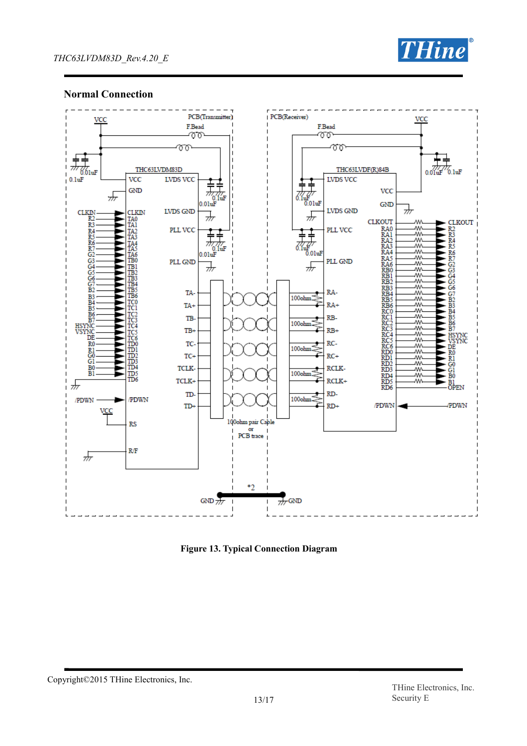

## **Normal Connection**



**Figure 13. Typical Connection Diagram**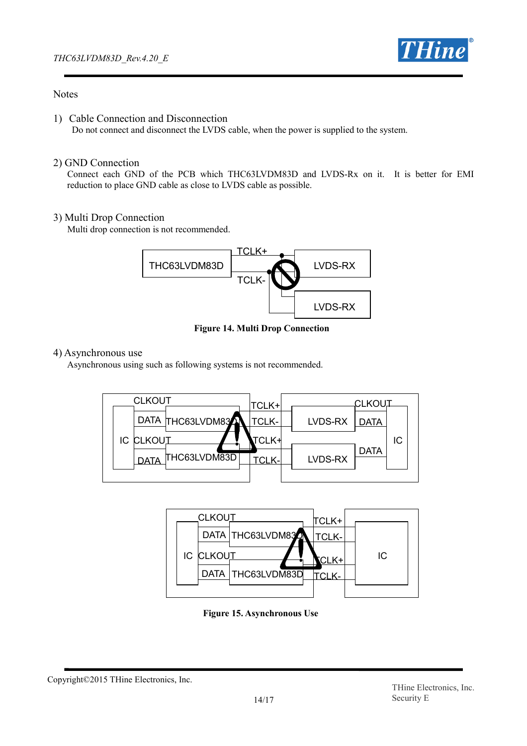

## **Notes**

1) Cable Connection and Disconnection Do not connect and disconnect the LVDS cable, when the power is supplied to the system.

## 2) GND Connection

Connect each GND of the PCB which THC63LVDM83D and LVDS-Rx on it. It is better for EMI reduction to place GND cable as close to LVDS cable as possible.

## 3) Multi Drop Connection

Multi drop connection is not recommended.



**Figure 14. Multi Drop Connection**

## 4) Asynchronous use

Asynchronous using such as following systems is not recommended.





**Figure 15. Asynchronous Use**

Copyright©2015 THine Electronics, Inc.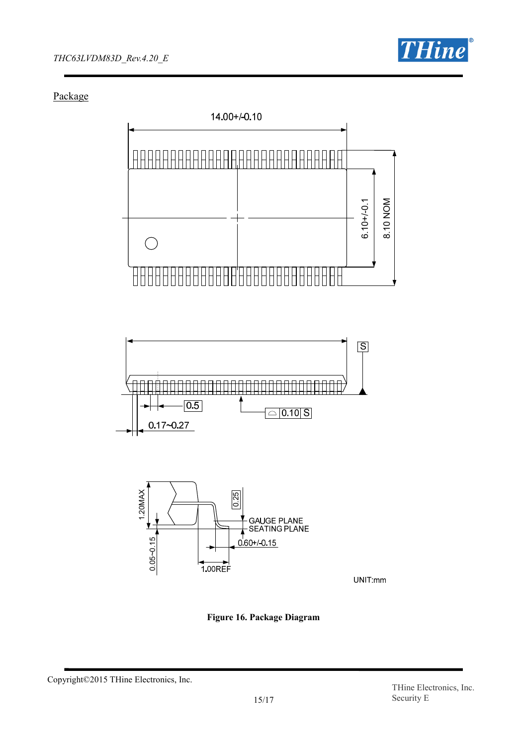

Package







UNIT:mm

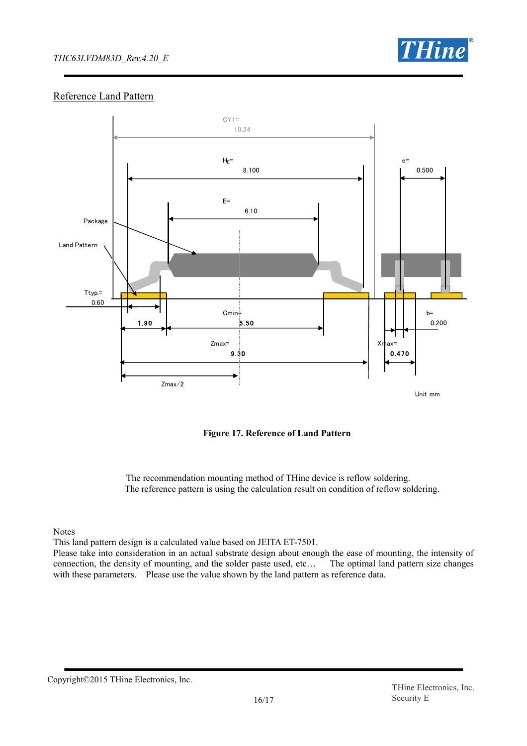## *THC63LVDM83D\_Rev.4.20\_E*



## Reference Land Pattern



**Figure 17. Reference of Land Pattern**

The recommendation mounting method of THine device is reflow soldering. The reference pattern is using the calculation result on condition of reflow soldering.

Notes

This land pattern design is a calculated value based on JEITA ET-7501.

Please take into consideration in an actual substrate design about enough the ease of mounting, the intensity of connection, the density of mounting, and the solder paste used, etc… The optimal land pattern size changes with these parameters. Please use the value shown by the land pattern as reference data.

Copyright©2015 THine Electronics, Inc.